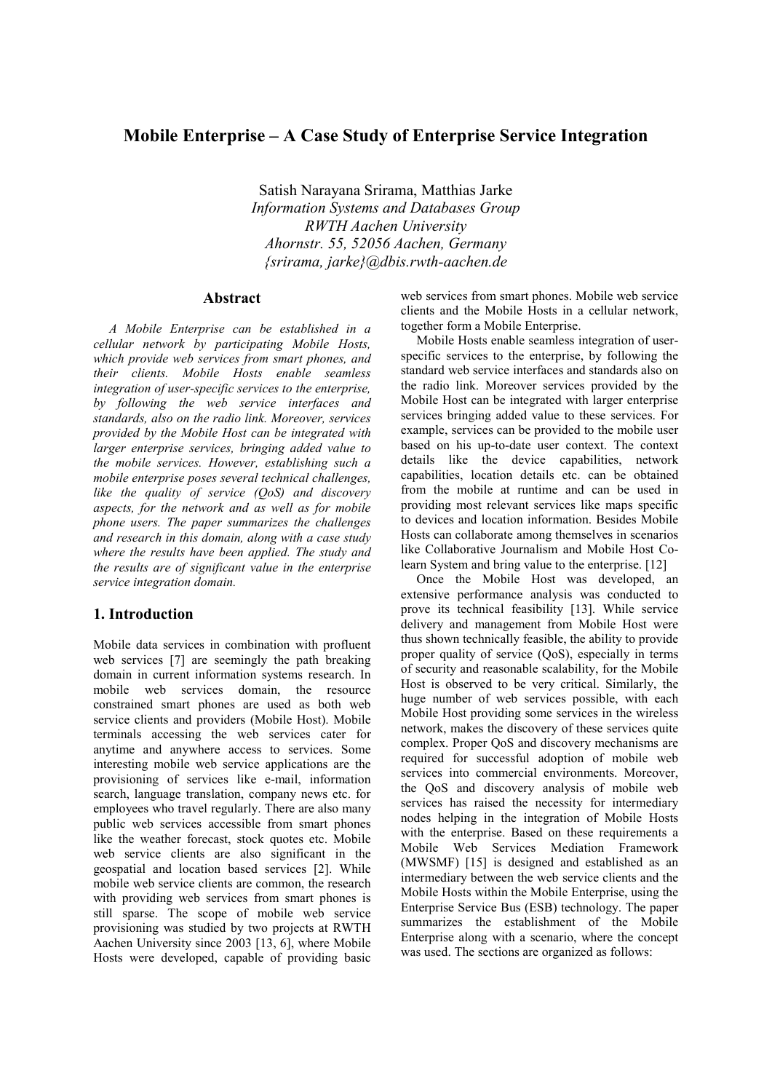# **Mobile Enterprise – A Case Study of Enterprise Service Integration**

Satish Narayana Srirama, Matthias Jarke *Information Systems and Databases Group RWTH Aachen University Ahornstr. 55, 52056 Aachen, Germany {srirama, jarke}@dbis.rwth-aachen.de* 

### **Abstract**

*A Mobile Enterprise can be established in a cellular network by participating Mobile Hosts, which provide web services from smart phones, and their clients. Mobile Hosts enable seamless integration of user-specific services to the enterprise, by following the web service interfaces and standards, also on the radio link. Moreover, services provided by the Mobile Host can be integrated with larger enterprise services, bringing added value to the mobile services. However, establishing such a mobile enterprise poses several technical challenges, like the quality of service (QoS) and discovery aspects, for the network and as well as for mobile phone users. The paper summarizes the challenges and research in this domain, along with a case study where the results have been applied. The study and the results are of significant value in the enterprise service integration domain.* 

# **1. Introduction**

Mobile data services in combination with profluent web services [7] are seemingly the path breaking domain in current information systems research. In mobile web services domain, the resource constrained smart phones are used as both web service clients and providers (Mobile Host). Mobile terminals accessing the web services cater for anytime and anywhere access to services. Some interesting mobile web service applications are the provisioning of services like e-mail, information search, language translation, company news etc. for employees who travel regularly. There are also many public web services accessible from smart phones like the weather forecast, stock quotes etc. Mobile web service clients are also significant in the geospatial and location based services [2]. While mobile web service clients are common, the research with providing web services from smart phones is still sparse. The scope of mobile web service provisioning was studied by two projects at RWTH Aachen University since 2003 [13, 6], where Mobile Hosts were developed, capable of providing basic web services from smart phones. Mobile web service clients and the Mobile Hosts in a cellular network, together form a Mobile Enterprise.

Mobile Hosts enable seamless integration of userspecific services to the enterprise, by following the standard web service interfaces and standards also on the radio link. Moreover services provided by the Mobile Host can be integrated with larger enterprise services bringing added value to these services. For example, services can be provided to the mobile user based on his up-to-date user context. The context details like the device capabilities, network capabilities, location details etc. can be obtained from the mobile at runtime and can be used in providing most relevant services like maps specific to devices and location information. Besides Mobile Hosts can collaborate among themselves in scenarios like Collaborative Journalism and Mobile Host Colearn System and bring value to the enterprise. [12]

Once the Mobile Host was developed, an extensive performance analysis was conducted to prove its technical feasibility [13]. While service delivery and management from Mobile Host were thus shown technically feasible, the ability to provide proper quality of service (QoS), especially in terms of security and reasonable scalability, for the Mobile Host is observed to be very critical. Similarly, the huge number of web services possible, with each Mobile Host providing some services in the wireless network, makes the discovery of these services quite complex. Proper QoS and discovery mechanisms are required for successful adoption of mobile web services into commercial environments. Moreover, the QoS and discovery analysis of mobile web services has raised the necessity for intermediary nodes helping in the integration of Mobile Hosts with the enterprise. Based on these requirements a Mobile Web Services Mediation Framework (MWSMF) [15] is designed and established as an intermediary between the web service clients and the Mobile Hosts within the Mobile Enterprise, using the Enterprise Service Bus (ESB) technology. The paper summarizes the establishment of the Mobile Enterprise along with a scenario, where the concept was used. The sections are organized as follows: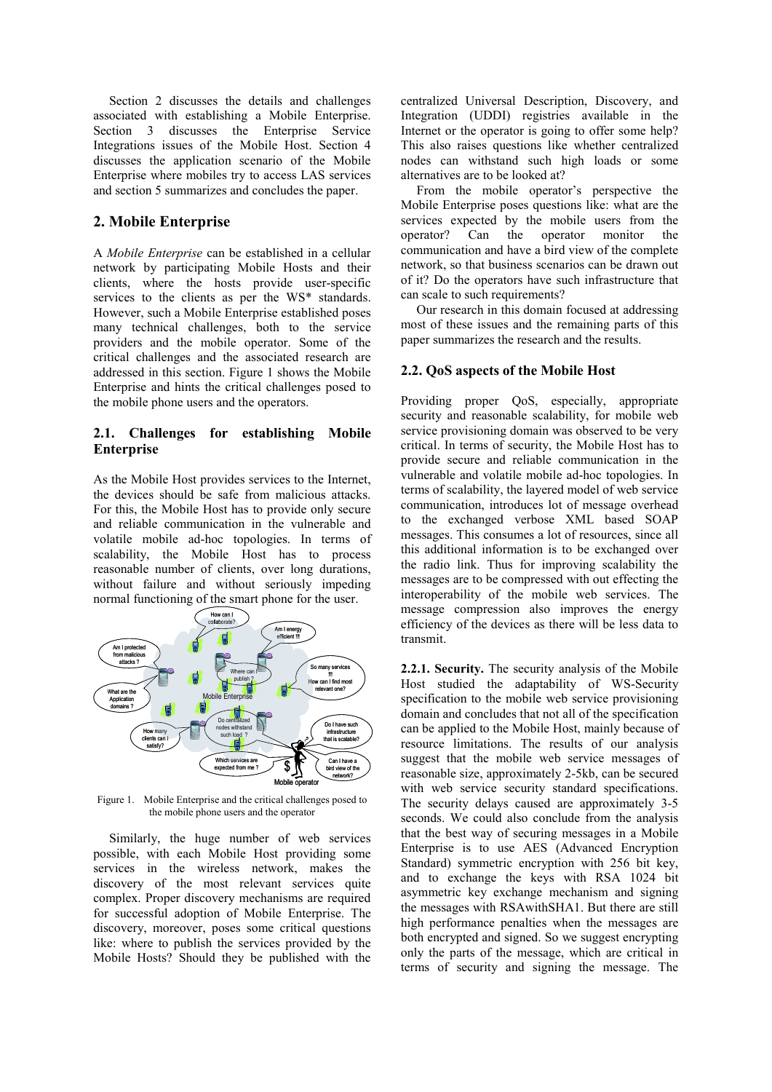Section 2 discusses the details and challenges associated with establishing a Mobile Enterprise. Section 3 discusses the Enterprise Service Integrations issues of the Mobile Host. Section 4 discusses the application scenario of the Mobile Enterprise where mobiles try to access LAS services and section 5 summarizes and concludes the paper.

# **2. Mobile Enterprise**

A *Mobile Enterprise* can be established in a cellular network by participating Mobile Hosts and their clients, where the hosts provide user-specific services to the clients as per the WS\* standards. However, such a Mobile Enterprise established poses many technical challenges, both to the service providers and the mobile operator. Some of the critical challenges and the associated research are addressed in this section. Figure 1 shows the Mobile Enterprise and hints the critical challenges posed to the mobile phone users and the operators.

### **2.1. Challenges for establishing Mobile Enterprise**

As the Mobile Host provides services to the Internet, the devices should be safe from malicious attacks. For this, the Mobile Host has to provide only secure and reliable communication in the vulnerable and volatile mobile ad-hoc topologies. In terms of scalability, the Mobile Host has to process reasonable number of clients, over long durations, without failure and without seriously impeding normal functioning of the smart phone for the user.



Figure 1. Mobile Enterprise and the critical challenges posed to the mobile phone users and the operator

Similarly, the huge number of web services possible, with each Mobile Host providing some services in the wireless network, makes the discovery of the most relevant services quite complex. Proper discovery mechanisms are required for successful adoption of Mobile Enterprise. The discovery, moreover, poses some critical questions like: where to publish the services provided by the Mobile Hosts? Should they be published with the centralized Universal Description, Discovery, and Integration (UDDI) registries available in the Internet or the operator is going to offer some help? This also raises questions like whether centralized nodes can withstand such high loads or some alternatives are to be looked at?

From the mobile operator's perspective the Mobile Enterprise poses questions like: what are the services expected by the mobile users from the operator? Can the operator monitor the communication and have a bird view of the complete network, so that business scenarios can be drawn out of it? Do the operators have such infrastructure that can scale to such requirements?

Our research in this domain focused at addressing most of these issues and the remaining parts of this paper summarizes the research and the results.

### **2.2. QoS aspects of the Mobile Host**

Providing proper QoS, especially, appropriate security and reasonable scalability, for mobile web service provisioning domain was observed to be very critical. In terms of security, the Mobile Host has to provide secure and reliable communication in the vulnerable and volatile mobile ad-hoc topologies. In terms of scalability, the layered model of web service communication, introduces lot of message overhead to the exchanged verbose XML based SOAP messages. This consumes a lot of resources, since all this additional information is to be exchanged over the radio link. Thus for improving scalability the messages are to be compressed with out effecting the interoperability of the mobile web services. The message compression also improves the energy efficiency of the devices as there will be less data to transmit.

**2.2.1. Security.** The security analysis of the Mobile Host studied the adaptability of WS-Security specification to the mobile web service provisioning domain and concludes that not all of the specification can be applied to the Mobile Host, mainly because of resource limitations. The results of our analysis suggest that the mobile web service messages of reasonable size, approximately 2-5kb, can be secured with web service security standard specifications. The security delays caused are approximately 3-5 seconds. We could also conclude from the analysis that the best way of securing messages in a Mobile Enterprise is to use AES (Advanced Encryption Standard) symmetric encryption with 256 bit key, and to exchange the keys with RSA 1024 bit asymmetric key exchange mechanism and signing the messages with RSAwithSHA1. But there are still high performance penalties when the messages are both encrypted and signed. So we suggest encrypting only the parts of the message, which are critical in terms of security and signing the message. The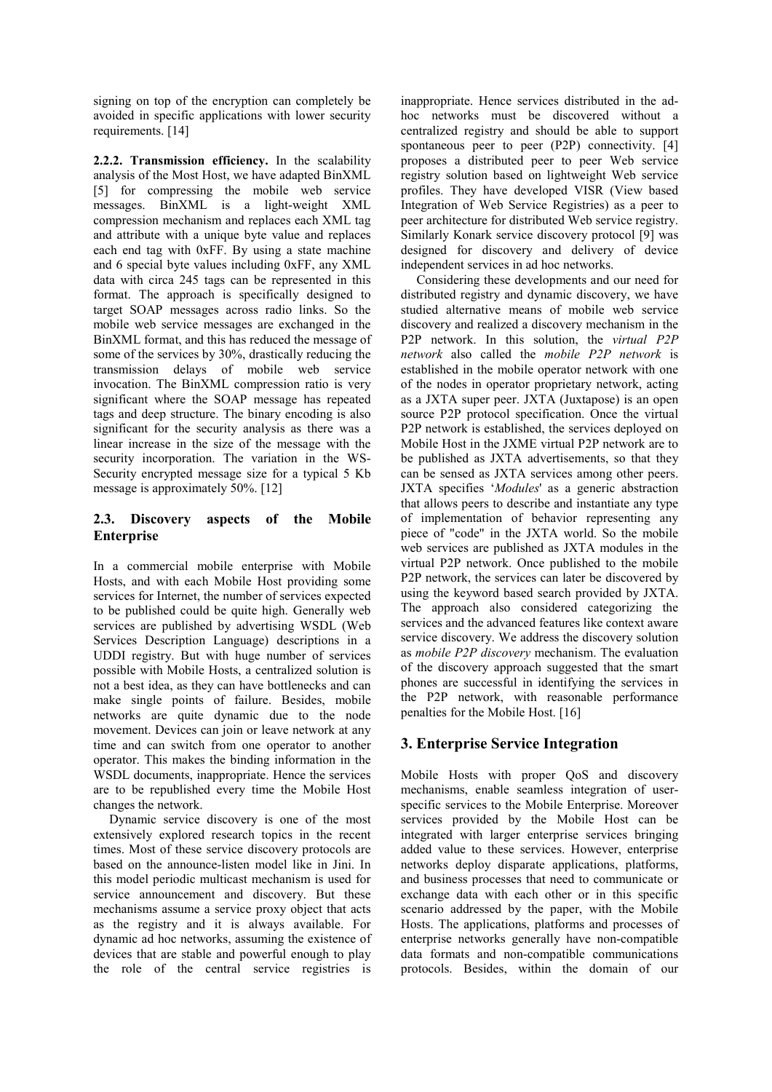signing on top of the encryption can completely be avoided in specific applications with lower security requirements. [14]

**2.2.2. Transmission efficiency.** In the scalability analysis of the Most Host, we have adapted BinXML [5] for compressing the mobile web service messages. BinXML is a light-weight XML compression mechanism and replaces each XML tag and attribute with a unique byte value and replaces each end tag with 0xFF. By using a state machine and 6 special byte values including 0xFF, any XML data with circa 245 tags can be represented in this format. The approach is specifically designed to target SOAP messages across radio links. So the mobile web service messages are exchanged in the BinXML format, and this has reduced the message of some of the services by 30%, drastically reducing the transmission delays of mobile web service invocation. The BinXML compression ratio is very significant where the SOAP message has repeated tags and deep structure. The binary encoding is also significant for the security analysis as there was a linear increase in the size of the message with the security incorporation. The variation in the WS-Security encrypted message size for a typical 5 Kb message is approximately 50%. [12]

# **2.3. Discovery aspects of the Mobile Enterprise**

In a commercial mobile enterprise with Mobile Hosts, and with each Mobile Host providing some services for Internet, the number of services expected to be published could be quite high. Generally web services are published by advertising WSDL (Web Services Description Language) descriptions in a UDDI registry. But with huge number of services possible with Mobile Hosts, a centralized solution is not a best idea, as they can have bottlenecks and can make single points of failure. Besides, mobile networks are quite dynamic due to the node movement. Devices can join or leave network at any time and can switch from one operator to another operator. This makes the binding information in the WSDL documents, inappropriate. Hence the services are to be republished every time the Mobile Host changes the network.

Dynamic service discovery is one of the most extensively explored research topics in the recent times. Most of these service discovery protocols are based on the announce-listen model like in Jini. In this model periodic multicast mechanism is used for service announcement and discovery. But these mechanisms assume a service proxy object that acts as the registry and it is always available. For dynamic ad hoc networks, assuming the existence of devices that are stable and powerful enough to play the role of the central service registries is

inappropriate. Hence services distributed in the adhoc networks must be discovered without a centralized registry and should be able to support spontaneous peer to peer (P2P) connectivity. [4] proposes a distributed peer to peer Web service registry solution based on lightweight Web service profiles. They have developed VISR (View based Integration of Web Service Registries) as a peer to peer architecture for distributed Web service registry. Similarly Konark service discovery protocol [9] was designed for discovery and delivery of device independent services in ad hoc networks.

Considering these developments and our need for distributed registry and dynamic discovery, we have studied alternative means of mobile web service discovery and realized a discovery mechanism in the P2P network. In this solution, the *virtual P2P network* also called the *mobile P2P network* is established in the mobile operator network with one of the nodes in operator proprietary network, acting as a JXTA super peer. JXTA (Juxtapose) is an open source P2P protocol specification. Once the virtual P2P network is established, the services deployed on Mobile Host in the JXME virtual P2P network are to be published as JXTA advertisements, so that they can be sensed as JXTA services among other peers. JXTA specifies '*Modules*' as a generic abstraction that allows peers to describe and instantiate any type of implementation of behavior representing any piece of "code" in the JXTA world. So the mobile web services are published as JXTA modules in the virtual P2P network. Once published to the mobile P2P network, the services can later be discovered by using the keyword based search provided by JXTA. The approach also considered categorizing the services and the advanced features like context aware service discovery. We address the discovery solution as *mobile P2P discovery* mechanism. The evaluation of the discovery approach suggested that the smart phones are successful in identifying the services in the P2P network, with reasonable performance penalties for the Mobile Host. [16]

# **3. Enterprise Service Integration**

Mobile Hosts with proper QoS and discovery mechanisms, enable seamless integration of userspecific services to the Mobile Enterprise. Moreover services provided by the Mobile Host can be integrated with larger enterprise services bringing added value to these services. However, enterprise networks deploy disparate applications, platforms, and business processes that need to communicate or exchange data with each other or in this specific scenario addressed by the paper, with the Mobile Hosts. The applications, platforms and processes of enterprise networks generally have non-compatible data formats and non-compatible communications protocols. Besides, within the domain of our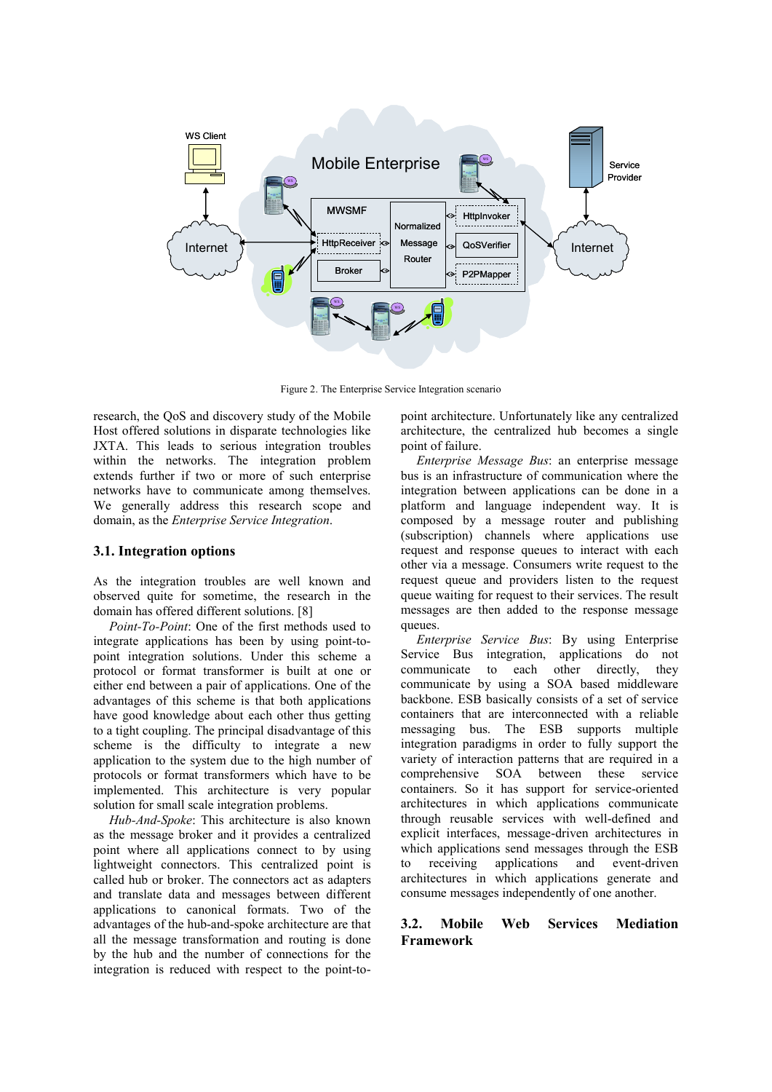

Figure 2. The Enterprise Service Integration scenario

research, the QoS and discovery study of the Mobile Host offered solutions in disparate technologies like JXTA. This leads to serious integration troubles within the networks. The integration problem extends further if two or more of such enterprise networks have to communicate among themselves. We generally address this research scope and domain, as the *Enterprise Service Integration*.

#### **3.1. Integration options**

As the integration troubles are well known and observed quite for sometime, the research in the domain has offered different solutions. [8]

*Point-To-Point*: One of the first methods used to integrate applications has been by using point-topoint integration solutions. Under this scheme a protocol or format transformer is built at one or either end between a pair of applications. One of the advantages of this scheme is that both applications have good knowledge about each other thus getting to a tight coupling. The principal disadvantage of this scheme is the difficulty to integrate a new application to the system due to the high number of protocols or format transformers which have to be implemented. This architecture is very popular solution for small scale integration problems.

*Hub-And-Spoke*: This architecture is also known as the message broker and it provides a centralized point where all applications connect to by using lightweight connectors. This centralized point is called hub or broker. The connectors act as adapters and translate data and messages between different applications to canonical formats. Two of the advantages of the hub-and-spoke architecture are that all the message transformation and routing is done by the hub and the number of connections for the integration is reduced with respect to the point-topoint architecture. Unfortunately like any centralized architecture, the centralized hub becomes a single point of failure.

*Enterprise Message Bus*: an enterprise message bus is an infrastructure of communication where the integration between applications can be done in a platform and language independent way. It is composed by a message router and publishing (subscription) channels where applications use request and response queues to interact with each other via a message. Consumers write request to the request queue and providers listen to the request queue waiting for request to their services. The result messages are then added to the response message queues.

*Enterprise Service Bus*: By using Enterprise Service Bus integration, applications do not communicate to each other directly, they communicate by using a SOA based middleware backbone. ESB basically consists of a set of service containers that are interconnected with a reliable messaging bus. The ESB supports multiple integration paradigms in order to fully support the variety of interaction patterns that are required in a comprehensive SOA between these service containers. So it has support for service-oriented architectures in which applications communicate through reusable services with well-defined and explicit interfaces, message-driven architectures in which applications send messages through the ESB to receiving applications and event-driven architectures in which applications generate and consume messages independently of one another.

#### **3.2. Mobile Web Services Mediation Framework**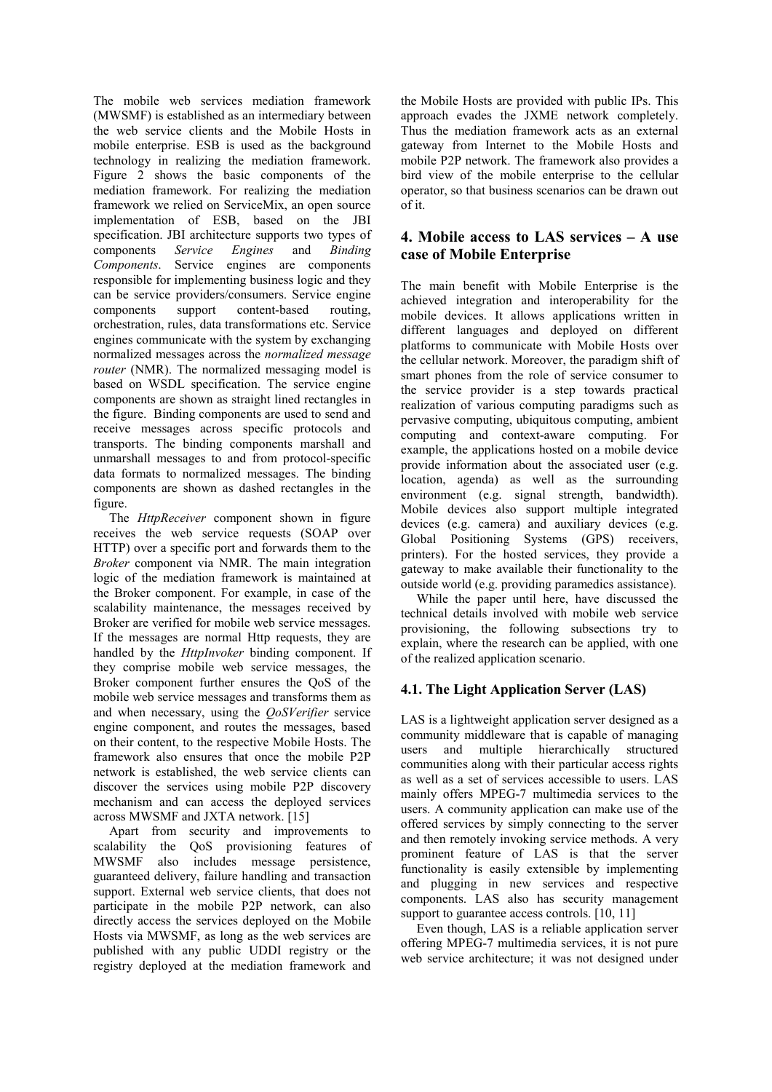The mobile web services mediation framework (MWSMF) is established as an intermediary between the web service clients and the Mobile Hosts in mobile enterprise. ESB is used as the background technology in realizing the mediation framework. Figure 2 shows the basic components of the mediation framework. For realizing the mediation framework we relied on ServiceMix, an open source implementation of ESB, based on the JBI specification. JBI architecture supports two types of components *Service Engines* and *Binding Components*. Service engines are components responsible for implementing business logic and they can be service providers/consumers. Service engine components support content-based routing, orchestration, rules, data transformations etc. Service engines communicate with the system by exchanging normalized messages across the *normalized message router* (NMR). The normalized messaging model is based on WSDL specification. The service engine components are shown as straight lined rectangles in the figure. Binding components are used to send and receive messages across specific protocols and transports. The binding components marshall and unmarshall messages to and from protocol-specific data formats to normalized messages. The binding components are shown as dashed rectangles in the figure.

The *HttpReceiver* component shown in figure receives the web service requests (SOAP over HTTP) over a specific port and forwards them to the *Broker* component via NMR. The main integration logic of the mediation framework is maintained at the Broker component. For example, in case of the scalability maintenance, the messages received by Broker are verified for mobile web service messages. If the messages are normal Http requests, they are handled by the *HttpInvoker* binding component. If they comprise mobile web service messages, the Broker component further ensures the QoS of the mobile web service messages and transforms them as and when necessary, using the *QoSVerifier* service engine component, and routes the messages, based on their content, to the respective Mobile Hosts. The framework also ensures that once the mobile P2P network is established, the web service clients can discover the services using mobile P2P discovery mechanism and can access the deployed services across MWSMF and JXTA network. [15]

Apart from security and improvements to scalability the QoS provisioning features of MWSMF also includes message persistence, guaranteed delivery, failure handling and transaction support. External web service clients, that does not participate in the mobile P2P network, can also directly access the services deployed on the Mobile Hosts via MWSMF, as long as the web services are published with any public UDDI registry or the registry deployed at the mediation framework and

the Mobile Hosts are provided with public IPs. This approach evades the JXME network completely. Thus the mediation framework acts as an external gateway from Internet to the Mobile Hosts and mobile P2P network. The framework also provides a bird view of the mobile enterprise to the cellular operator, so that business scenarios can be drawn out of it.

# **4. Mobile access to LAS services – A use case of Mobile Enterprise**

The main benefit with Mobile Enterprise is the achieved integration and interoperability for the mobile devices. It allows applications written in different languages and deployed on different platforms to communicate with Mobile Hosts over the cellular network. Moreover, the paradigm shift of smart phones from the role of service consumer to the service provider is a step towards practical realization of various computing paradigms such as pervasive computing, ubiquitous computing, ambient computing and context-aware computing. For example, the applications hosted on a mobile device provide information about the associated user (e.g. location, agenda) as well as the surrounding environment (e.g. signal strength, bandwidth). Mobile devices also support multiple integrated devices (e.g. camera) and auxiliary devices (e.g. Global Positioning Systems (GPS) receivers, printers). For the hosted services, they provide a gateway to make available their functionality to the outside world (e.g. providing paramedics assistance).

While the paper until here, have discussed the technical details involved with mobile web service provisioning, the following subsections try to explain, where the research can be applied, with one of the realized application scenario.

# **4.1. The Light Application Server (LAS)**

LAS is a lightweight application server designed as a community middleware that is capable of managing users and multiple hierarchically structured communities along with their particular access rights as well as a set of services accessible to users. LAS mainly offers MPEG-7 multimedia services to the users. A community application can make use of the offered services by simply connecting to the server and then remotely invoking service methods. A very prominent feature of LAS is that the server functionality is easily extensible by implementing and plugging in new services and respective components. LAS also has security management support to guarantee access controls. [10, 11]

Even though, LAS is a reliable application server offering MPEG-7 multimedia services, it is not pure web service architecture; it was not designed under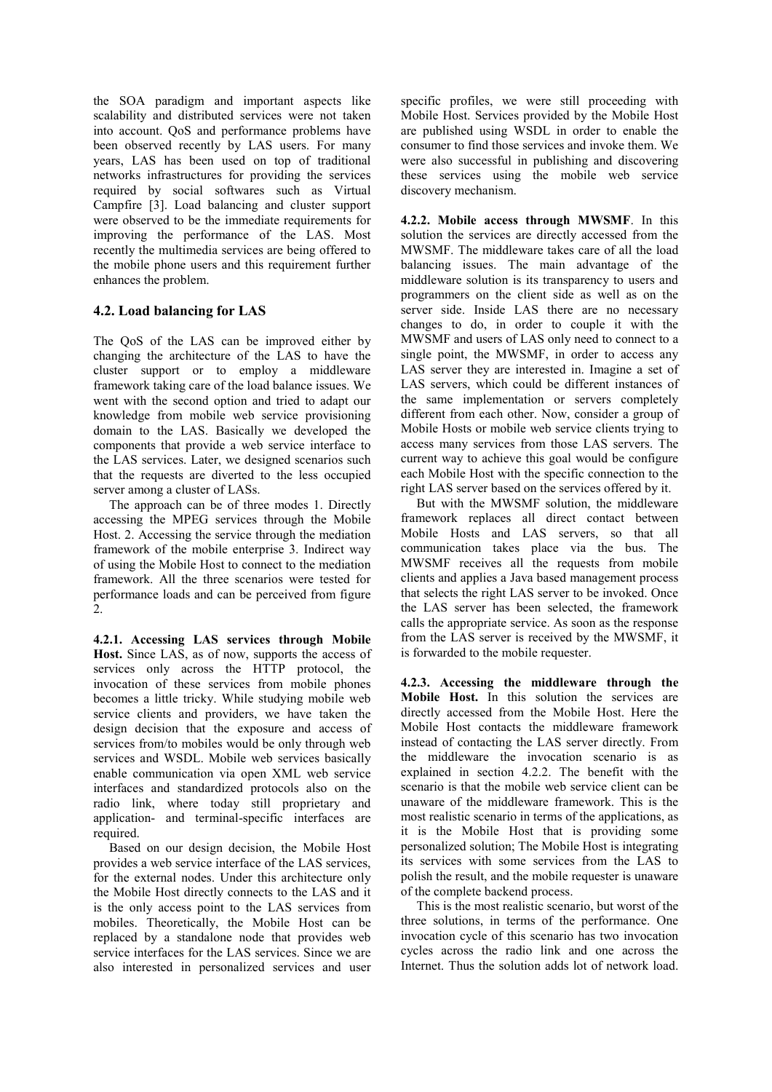the SOA paradigm and important aspects like scalability and distributed services were not taken into account. QoS and performance problems have been observed recently by LAS users. For many years, LAS has been used on top of traditional networks infrastructures for providing the services required by social softwares such as Virtual Campfire [3]. Load balancing and cluster support were observed to be the immediate requirements for improving the performance of the LAS. Most recently the multimedia services are being offered to the mobile phone users and this requirement further enhances the problem.

### **4.2. Load balancing for LAS**

The QoS of the LAS can be improved either by changing the architecture of the LAS to have the cluster support or to employ a middleware framework taking care of the load balance issues. We went with the second option and tried to adapt our knowledge from mobile web service provisioning domain to the LAS. Basically we developed the components that provide a web service interface to the LAS services. Later, we designed scenarios such that the requests are diverted to the less occupied server among a cluster of LASs.

The approach can be of three modes 1. Directly accessing the MPEG services through the Mobile Host. 2. Accessing the service through the mediation framework of the mobile enterprise 3. Indirect way of using the Mobile Host to connect to the mediation framework. All the three scenarios were tested for performance loads and can be perceived from figure 2.

**4.2.1. Accessing LAS services through Mobile Host.** Since LAS, as of now, supports the access of services only across the HTTP protocol, the invocation of these services from mobile phones becomes a little tricky. While studying mobile web service clients and providers, we have taken the design decision that the exposure and access of services from/to mobiles would be only through web services and WSDL. Mobile web services basically enable communication via open XML web service interfaces and standardized protocols also on the radio link, where today still proprietary and application- and terminal-specific interfaces are required.

Based on our design decision, the Mobile Host provides a web service interface of the LAS services, for the external nodes. Under this architecture only the Mobile Host directly connects to the LAS and it is the only access point to the LAS services from mobiles. Theoretically, the Mobile Host can be replaced by a standalone node that provides web service interfaces for the LAS services. Since we are also interested in personalized services and user specific profiles, we were still proceeding with Mobile Host. Services provided by the Mobile Host are published using WSDL in order to enable the consumer to find those services and invoke them. We were also successful in publishing and discovering these services using the mobile web service discovery mechanism.

**4.2.2. Mobile access through MWSMF**. In this solution the services are directly accessed from the MWSMF. The middleware takes care of all the load balancing issues. The main advantage of the middleware solution is its transparency to users and programmers on the client side as well as on the server side. Inside LAS there are no necessary changes to do, in order to couple it with the MWSMF and users of LAS only need to connect to a single point, the MWSMF, in order to access any LAS server they are interested in. Imagine a set of LAS servers, which could be different instances of the same implementation or servers completely different from each other. Now, consider a group of Mobile Hosts or mobile web service clients trying to access many services from those LAS servers. The current way to achieve this goal would be configure each Mobile Host with the specific connection to the right LAS server based on the services offered by it.

But with the MWSMF solution, the middleware framework replaces all direct contact between Mobile Hosts and LAS servers, so that all communication takes place via the bus. The MWSMF receives all the requests from mobile clients and applies a Java based management process that selects the right LAS server to be invoked. Once the LAS server has been selected, the framework calls the appropriate service. As soon as the response from the LAS server is received by the MWSMF, it is forwarded to the mobile requester.

**4.2.3. Accessing the middleware through the Mobile Host.** In this solution the services are directly accessed from the Mobile Host. Here the Mobile Host contacts the middleware framework instead of contacting the LAS server directly. From the middleware the invocation scenario is as explained in section 4.2.2. The benefit with the scenario is that the mobile web service client can be unaware of the middleware framework. This is the most realistic scenario in terms of the applications, as it is the Mobile Host that is providing some personalized solution; The Mobile Host is integrating its services with some services from the LAS to polish the result, and the mobile requester is unaware of the complete backend process.

This is the most realistic scenario, but worst of the three solutions, in terms of the performance. One invocation cycle of this scenario has two invocation cycles across the radio link and one across the Internet. Thus the solution adds lot of network load.